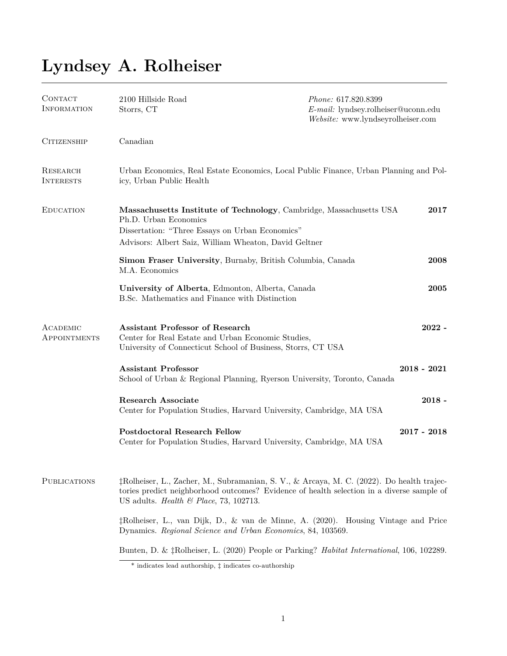## **Lyndsey A. Rolheiser**

| CONTACT<br><b>INFORMATION</b> | 2100 Hillside Road<br>Storrs, CT                                                                                                                                                                                                             | Phone: 617.820.8399<br>E-mail: lyndsey.rolheiser@uconn.edu<br>Website: www.lyndseyrolheiser.com |
|-------------------------------|----------------------------------------------------------------------------------------------------------------------------------------------------------------------------------------------------------------------------------------------|-------------------------------------------------------------------------------------------------|
| <b>CITIZENSHIP</b>            | Canadian                                                                                                                                                                                                                                     |                                                                                                 |
| RESEARCH<br><b>INTERESTS</b>  | Urban Economics, Real Estate Economics, Local Public Finance, Urban Planning and Pol-<br>icy, Urban Public Health                                                                                                                            |                                                                                                 |
| <b>EDUCATION</b>              | Massachusetts Institute of Technology, Cambridge, Massachusetts USA<br>Ph.D. Urban Economics<br>Dissertation: "Three Essays on Urban Economics"<br>Advisors: Albert Saiz, William Wheaton, David Geltner                                     | 2017                                                                                            |
|                               | Simon Fraser University, Burnaby, British Columbia, Canada<br>M.A. Economics                                                                                                                                                                 | 2008                                                                                            |
|                               | University of Alberta, Edmonton, Alberta, Canada<br>B.Sc. Mathematics and Finance with Distinction                                                                                                                                           | 2005                                                                                            |
| ACADEMIC<br>APPOINTMENTS      | <b>Assistant Professor of Research</b><br>Center for Real Estate and Urban Economic Studies,<br>University of Connecticut School of Business, Storrs, CT USA                                                                                 | $2022 -$                                                                                        |
|                               | <b>Assistant Professor</b><br>School of Urban & Regional Planning, Ryerson University, Toronto, Canada                                                                                                                                       | $2018 - 2021$                                                                                   |
|                               | <b>Research Associate</b><br>Center for Population Studies, Harvard University, Cambridge, MA USA                                                                                                                                            | $2018 -$                                                                                        |
|                               | <b>Postdoctoral Research Fellow</b><br>Center for Population Studies, Harvard University, Cambridge, MA USA                                                                                                                                  | $2017 - 2018$                                                                                   |
| <b>PUBLICATIONS</b>           | †Rolheiser, L., Zacher, M., Subramanian, S. V., & Arcaya, M. C. (2022). Do health trajec-<br>tories predict neighborhood outcomes? Evidence of health selection in a diverse sample of<br>US adults. <i>Health &amp; Place</i> , 73, 102713. |                                                                                                 |
|                               | ‡Rolheiser, L., van Dijk, D., & van de Minne, A. (2020). Housing Vintage and Price<br>Dynamics. Regional Science and Urban Economics, 84, 103569.                                                                                            |                                                                                                 |
|                               | Bunten, D. & †Rolheiser, L. (2020) People or Parking? Habitat International, 106, 102289.                                                                                                                                                    |                                                                                                 |

<sup>\*</sup> indicates lead authorship, *‡* indicates co-authorship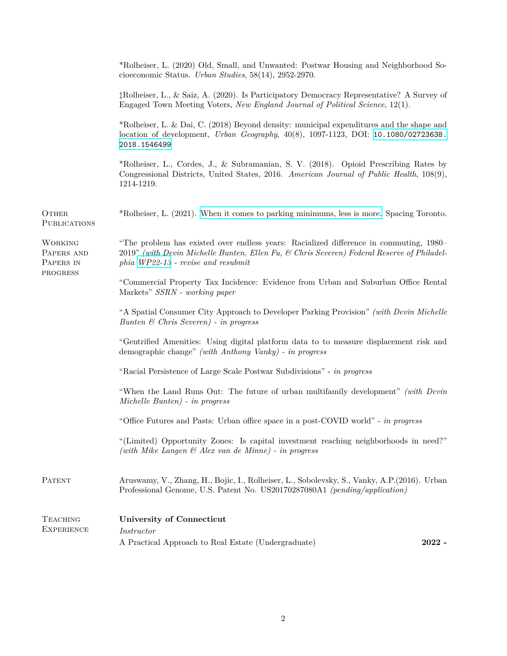|                                           | *Rolheiser, L. (2020) Old, Small, and Unwanted: Postwar Housing and Neighborhood So-<br>cioeconomic Status. Urban Studies, 58(14), 2952-2970.                                                                              |          |
|-------------------------------------------|----------------------------------------------------------------------------------------------------------------------------------------------------------------------------------------------------------------------------|----------|
|                                           | †Rolheiser, L., & Saiz, A. (2020). Is Participatory Democracy Representative? A Survey of<br>Engaged Town Meeting Voters, New England Journal of Political Science, 12(1).                                                 |          |
|                                           | *Rolheiser, L. & Dai, C. (2018) Beyond density: municipal expenditures and the shape and<br>location of development, <i>Urban Geography</i> , $40(8)$ , 1097-1123, DOI: 10.1080/02723638.<br>2018.1546499                  |          |
|                                           | *Rolheiser, L., Cordes, J., & Subramanian, S. V. (2018). Opioid Prescribing Rates by<br>Congressional Districts, United States, 2016. American Journal of Public Health, 108(9),<br>1214-1219.                             |          |
| <b>OTHER</b><br><b>PUBLICATIONS</b>       | *Rolheiser, L. (2021). When it comes to parking minimums, less is more. Spacing Toronto.                                                                                                                                   |          |
| <b>WORKING</b><br>PAPERS AND<br>PAPERS IN | "The problem has existed over endless years: Racialized difference in commuting, 1980–<br>2019" (with Devin Michelle Bunten, Ellen Fu, & Chris Severen) Federal Reserve of Philadel-<br>phia WP22-13 - revise and resubmit |          |
| PROGRESS                                  | "Commercial Property Tax Incidence: Evidence from Urban and Suburban Office Rental<br>Markets" SSRN - working paper                                                                                                        |          |
|                                           | "A Spatial Consumer City Approach to Developer Parking Provision" (with Devin Michelle<br>Bunten $\&$ Chris Severen) - in progress                                                                                         |          |
|                                           | "Gentrified Amenities: Using digital platform data to to measure displacement risk and<br>demographic change" (with Anthony Vanky) - in progress                                                                           |          |
|                                           | "Racial Persistence of Large Scale Postwar Subdivisions" - in progress                                                                                                                                                     |          |
|                                           | "When the Land Runs Out: The future of urban multifamily development" (with Devin<br>Michelle Bunten) - in progress                                                                                                        |          |
|                                           | "Office Futures and Pasts: Urban office space in a post-COVID world" - in progress                                                                                                                                         |          |
|                                           | "(Limited) Opportunity Zones: Is capital investment reaching neighborhoods in need?"<br>(with Mike Langen $\mathcal{C}$ Alex van de Minne) - in progress                                                                   |          |
| <b>PATENT</b>                             | Aruswamy, V., Zhang, H., Bojic, I., Rolheiser, L., Sobolevsky, S., Vanky, A.P. (2016). Urban<br>Professional Genome, U.S. Patent No. US20170287080A1 (pending/application)                                                 |          |
| <b>TEACHING</b>                           | University of Connecticut                                                                                                                                                                                                  |          |
| <b>EXPERIENCE</b>                         | <i>Instructor</i>                                                                                                                                                                                                          |          |
|                                           | A Practical Approach to Real Estate (Undergraduate)                                                                                                                                                                        | $2022 -$ |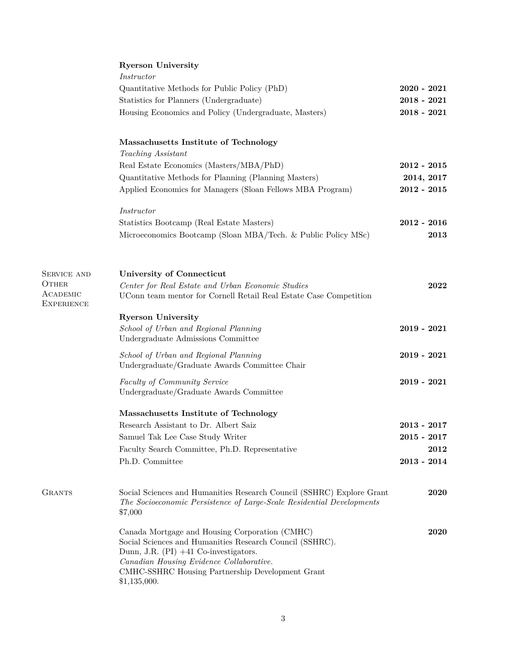|  | <b>Ryerson University</b> |
|--|---------------------------|
|--|---------------------------|

|                               | Instructor                                                                             |               |
|-------------------------------|----------------------------------------------------------------------------------------|---------------|
|                               | Quantitative Methods for Public Policy (PhD)                                           | $2020 - 2021$ |
|                               |                                                                                        | $2018 - 2021$ |
|                               | Statistics for Planners (Undergraduate)                                                |               |
|                               | Housing Economics and Policy (Undergraduate, Masters)                                  | $2018 - 2021$ |
|                               | Massachusetts Institute of Technology                                                  |               |
|                               | Teaching Assistant                                                                     |               |
|                               | Real Estate Economics (Masters/MBA/PhD)                                                | $2012 - 2015$ |
|                               | Quantitative Methods for Planning (Planning Masters)                                   | 2014, 2017    |
|                               | Applied Economics for Managers (Sloan Fellows MBA Program)                             | $2012 - 2015$ |
|                               | <i>Instructor</i>                                                                      |               |
|                               | Statistics Bootcamp (Real Estate Masters)                                              | $2012 - 2016$ |
|                               | Microeconomics Bootcamp (Sloan MBA/Tech. & Public Policy MSc)                          | 2013          |
|                               | University of Connecticut                                                              |               |
| SERVICE AND<br><b>OTHER</b>   | Center for Real Estate and Urban Economic Studies                                      | 2022          |
| ACADEMIC<br><b>EXPERIENCE</b> | UConn team mentor for Cornell Retail Real Estate Case Competition                      |               |
|                               | <b>Ryerson University</b>                                                              |               |
|                               | School of Urban and Regional Planning                                                  | $2019 - 2021$ |
|                               | Undergraduate Admissions Committee                                                     |               |
|                               | School of Urban and Regional Planning<br>Undergraduate/Graduate Awards Committee Chair | $2019 - 2021$ |
|                               | Faculty of Community Service                                                           | $2019 - 2021$ |
|                               | Undergraduate/Graduate Awards Committee                                                |               |
|                               | Massachusetts Institute of Technology                                                  |               |
|                               | Research Assistant to Dr. Albert Saiz                                                  | $2013 - 2017$ |
|                               | Samuel Tak Lee Case Study Writer                                                       | $2015 - 2017$ |
|                               | Faculty Search Committee, Ph.D. Representative                                         | 2012          |
|                               | Ph.D. Committee                                                                        | $2013 - 2014$ |
| <b>GRANTS</b>                 | Social Sciences and Humanities Research Council (SSHRC) Explore Grant                  | 2020          |
|                               | The Socioeconomic Persistence of Large-Scale Residential Developments<br>\$7,000       |               |
|                               | Canada Mortgage and Housing Corporation (CMHC)                                         | 2020          |
|                               | Social Sciences and Humanities Research Council (SSHRC).                               |               |
|                               | Dunn, J.R. $(PI)$ +41 Co-investigators.                                                |               |
|                               | Canadian Housing Evidence Collaborative.                                               |               |
|                               | CMHC-SSHRC Housing Partnership Development Grant<br>\$1,135,000.                       |               |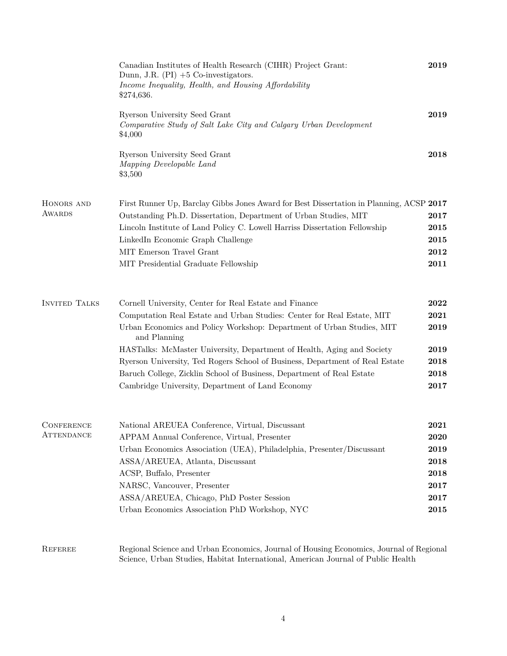|                      | Canadian Institutes of Health Research (CIHR) Project Grant:<br>Dunn, J.R. $(PI) + 5$ Co-investigators.<br>Income Inequality, Health, and Housing Affordability<br>\$274,636. | 2019         |
|----------------------|-------------------------------------------------------------------------------------------------------------------------------------------------------------------------------|--------------|
|                      | Ryerson University Seed Grant<br>Comparative Study of Salt Lake City and Calgary Urban Development<br>\$4,000                                                                 | 2019         |
|                      | Ryerson University Seed Grant<br>Mapping Developable Land<br>\$3,500                                                                                                          | 2018         |
| HONORS AND           | First Runner Up, Barclay Gibbs Jones Award for Best Dissertation in Planning, ACSP 2017                                                                                       |              |
| <b>AWARDS</b>        | Outstanding Ph.D. Dissertation, Department of Urban Studies, MIT                                                                                                              | 2017         |
|                      | Lincoln Institute of Land Policy C. Lowell Harriss Dissertation Fellowship                                                                                                    | 2015         |
|                      | LinkedIn Economic Graph Challenge                                                                                                                                             | 2015         |
|                      | MIT Emerson Travel Grant                                                                                                                                                      | 2012         |
|                      | MIT Presidential Graduate Fellowship                                                                                                                                          | 2011         |
| <b>INVITED TALKS</b> | Cornell University, Center for Real Estate and Finance                                                                                                                        | 2022         |
|                      | Computation Real Estate and Urban Studies: Center for Real Estate, MIT<br>Urban Economics and Policy Workshop: Department of Urban Studies, MIT<br>and Planning               | 2021<br>2019 |
|                      | HASTalks: McMaster University, Department of Health, Aging and Society                                                                                                        | 2019         |
|                      | Ryerson University, Ted Rogers School of Business, Department of Real Estate                                                                                                  | 2018         |
|                      | Baruch College, Zicklin School of Business, Department of Real Estate                                                                                                         | 2018         |
|                      | Cambridge University, Department of Land Economy                                                                                                                              | 2017         |
| <b>CONFERENCE</b>    | National AREUEA Conference, Virtual, Discussant                                                                                                                               | 2021         |
| ATTENDANCE           | APPAM Annual Conference, Virtual, Presenter                                                                                                                                   | 2020         |
|                      | Urban Economics Association (UEA), Philadelphia, Presenter/Discussant                                                                                                         | 2019         |
|                      | ASSA/AREUEA, Atlanta, Discussant                                                                                                                                              | 2018         |
|                      | ACSP, Buffalo, Presenter                                                                                                                                                      | 2018         |
|                      | NARSC, Vancouver, Presenter                                                                                                                                                   | 2017         |
|                      | ASSA/AREUEA, Chicago, PhD Poster Session                                                                                                                                      | 2017         |
|                      | Urban Economics Association PhD Workshop, NYC                                                                                                                                 | 2015         |
| REFEREE              | Regional Science and Urban Economics, Journal of Housing Economics, Journal of Regional<br>Science, Urban Studies, Habitat International, American Journal of Public Health   |              |